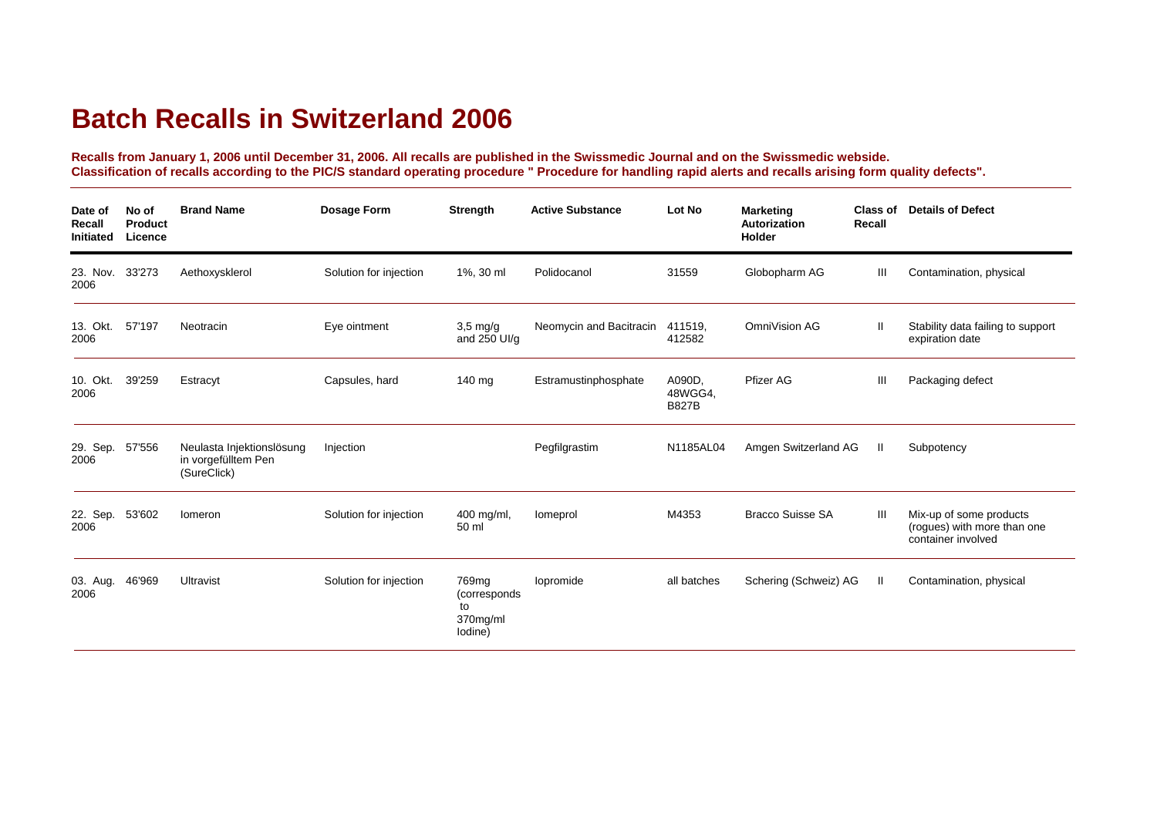## **Batch Recalls in Switzerland 2006**

**Recalls from January 1, 2006 until December 31, 2006. All recalls are published in the Swissmedic Journal and on the Swissmedic webside. Classification of recalls according to the PIC/S standard operating procedure " Procedure for handling rapid alerts and recalls arising form quality defects".**

| Date of<br>Recall<br>Initiated | No of<br><b>Product</b><br>Licence | <b>Brand Name</b>                                               | Dosage Form            | <b>Strength</b>                                                 | <b>Active Substance</b> | Lot No                            | <b>Marketing</b><br><b>Autorization</b><br>Holder | Class of<br>Recall | <b>Details of Defect</b>                                                     |
|--------------------------------|------------------------------------|-----------------------------------------------------------------|------------------------|-----------------------------------------------------------------|-------------------------|-----------------------------------|---------------------------------------------------|--------------------|------------------------------------------------------------------------------|
| 23. Nov.<br>2006               | 33'273                             | Aethoxysklerol                                                  | Solution for injection | 1%, 30 ml                                                       | Polidocanol             | 31559                             | Globopharm AG                                     | Ш                  | Contamination, physical                                                      |
| 13. Okt.<br>2006               | 57'197                             | Neotracin                                                       | Eye ointment           | $3,5$ mg/g<br>and $250$ UI/g                                    | Neomycin and Bacitracin | 411519.<br>412582                 | OmniVision AG                                     | Ш                  | Stability data failing to support<br>expiration date                         |
| 10. Okt.<br>2006               | 39'259                             | Estracyt                                                        | Capsules, hard         | 140 mg                                                          | Estramustinphosphate    | A090D,<br>48WGG4,<br><b>B827B</b> | Pfizer AG                                         | Ш                  | Packaging defect                                                             |
| 29. Sep.<br>2006               | 57'556                             | Neulasta Injektionslösung<br>in vorgefülltem Pen<br>(SureClick) | Injection              |                                                                 | Pegfilgrastim           | N1185AL04                         | Amgen Switzerland AG                              | H                  | Subpotency                                                                   |
| 22. Sep.<br>2006               | 53'602                             | Iomeron                                                         | Solution for injection | 400 mg/ml,<br>50 ml                                             | Iomeprol                | M4353                             | <b>Bracco Suisse SA</b>                           | Ш                  | Mix-up of some products<br>(rogues) with more than one<br>container involved |
| 03. Aug.<br>2006               | 46'969                             | Ultravist                                                       | Solution for injection | 769 <sub>mg</sub><br>(corresponds)<br>to<br>370mg/ml<br>lodine) | lopromide               | all batches                       | Schering (Schweiz) AG                             | H.                 | Contamination, physical                                                      |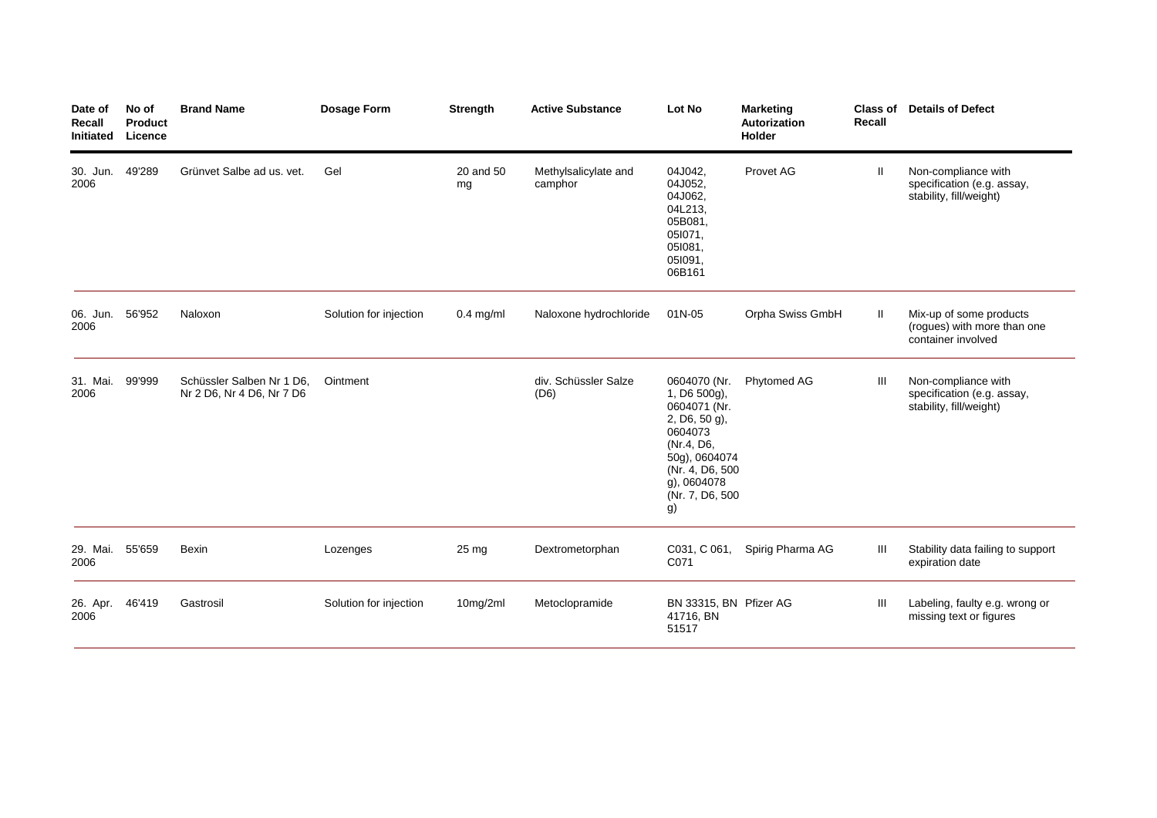| Date of<br>Recall<br>Initiated | No of<br>Product<br>Licence | <b>Brand Name</b>                                      | <b>Dosage Form</b>     | <b>Strength</b> | <b>Active Substance</b>         | Lot No                                                                                                                                                              | <b>Marketing</b><br>Autorization<br><b>Holder</b> | <b>Class of</b><br><b>Recall</b> | <b>Details of Defect</b>                                                     |
|--------------------------------|-----------------------------|--------------------------------------------------------|------------------------|-----------------|---------------------------------|---------------------------------------------------------------------------------------------------------------------------------------------------------------------|---------------------------------------------------|----------------------------------|------------------------------------------------------------------------------|
| 30. Jun.<br>2006               | 49'289                      | Grünvet Salbe ad us. vet.                              | Gel                    | 20 and 50<br>mg | Methylsalicylate and<br>camphor | 04J042,<br>04J052,<br>04J062,<br>04L213,<br>05B081,<br>051071.<br>051081,<br>051091,<br>06B161                                                                      | Provet AG                                         | Ш                                | Non-compliance with<br>specification (e.g. assay,<br>stability, fill/weight) |
| 06. Jun. 56'952<br>2006        |                             | Naloxon                                                | Solution for injection | $0.4$ mg/ml     | Naloxone hydrochloride          | 01N-05                                                                                                                                                              | Orpha Swiss GmbH                                  | Ш                                | Mix-up of some products<br>(rogues) with more than one<br>container involved |
| 31. Mai.<br>2006               | 99'999                      | Schüssler Salben Nr 1 D6.<br>Nr 2 D6, Nr 4 D6, Nr 7 D6 | Ointment               |                 | div. Schüssler Salze<br>(D6)    | 0604070 (Nr.<br>$1, D6500q$ ,<br>0604071 (Nr.<br>2, D6, 50 g),<br>0604073<br>(Nr.4, D6,<br>50g), 0604074<br>(Nr. 4, D6, 500<br>g), 0604078<br>(Nr. 7, D6, 500<br>g) | Phytomed AG                                       | Ш                                | Non-compliance with<br>specification (e.g. assay,<br>stability, fill/weight) |
| 29. Mai. 55'659<br>2006        |                             | Bexin                                                  | Lozenges               | $25 \text{ mg}$ | Dextrometorphan                 | C031, C 061,<br>C071                                                                                                                                                | Spirig Pharma AG                                  | Ш                                | Stability data failing to support<br>expiration date                         |
| 26. Apr.<br>2006               | 46'419                      | Gastrosil                                              | Solution for injection | 10mg/2ml        | Metoclopramide                  | BN 33315, BN Pfizer AG<br>41716, BN<br>51517                                                                                                                        |                                                   | Ш                                | Labeling, faulty e.g. wrong or<br>missing text or figures                    |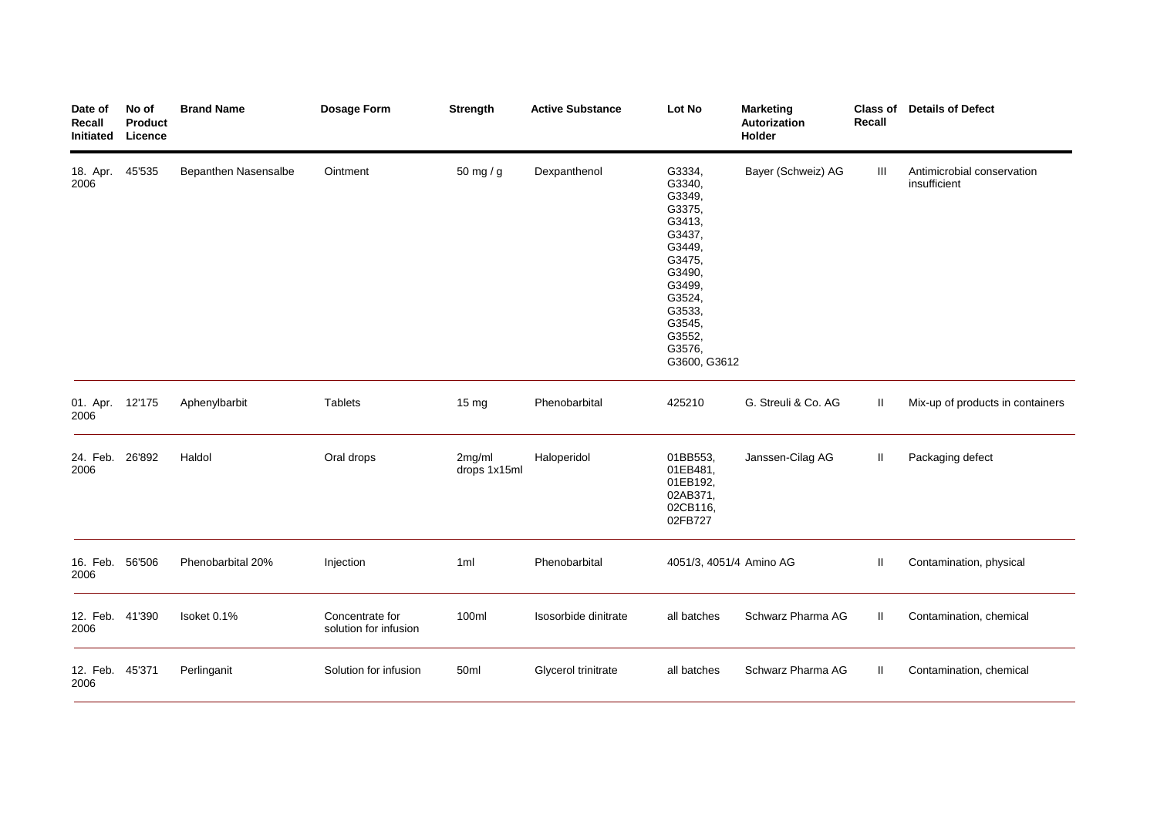| Date of<br>Recall<br>Initiated | No of<br><b>Product</b><br>Licence | <b>Brand Name</b>    | Dosage Form                              | Strength               | <b>Active Substance</b> | Lot No                                                                                                                                                             | <b>Marketing</b><br>Autorization<br>Holder | Recall       | <b>Class of Details of Defect</b>          |
|--------------------------------|------------------------------------|----------------------|------------------------------------------|------------------------|-------------------------|--------------------------------------------------------------------------------------------------------------------------------------------------------------------|--------------------------------------------|--------------|--------------------------------------------|
| 18. Apr.<br>2006               | 45'535                             | Bepanthen Nasensalbe | Ointment                                 | 50 mg / g              | Dexpanthenol            | G3334,<br>G3340,<br>G3349,<br>G3375,<br>G3413,<br>G3437,<br>G3449,<br>G3475,<br>G3490,<br>G3499,<br>G3524,<br>G3533,<br>G3545,<br>G3552,<br>G3576,<br>G3600, G3612 | Bayer (Schweiz) AG                         | Ш            | Antimicrobial conservation<br>insufficient |
| 01. Apr. 12'175<br>2006        |                                    | Aphenylbarbit        | <b>Tablets</b>                           | 15 mg                  | Phenobarbital           | 425210                                                                                                                                                             | G. Streuli & Co. AG                        | $\mathbf{I}$ | Mix-up of products in containers           |
| 24. Feb. 26'892<br>2006        |                                    | Haldol               | Oral drops                               | 2mg/ml<br>drops 1x15ml | Haloperidol             | 01BB553,<br>01EB481,<br>01EB192,<br>02AB371,<br>02CB116,<br>02FB727                                                                                                | Janssen-Cilag AG                           | Ш            | Packaging defect                           |
| 16. Feb. 56'506<br>2006        |                                    | Phenobarbital 20%    | Injection                                | 1ml                    | Phenobarbital           | 4051/3, 4051/4 Amino AG                                                                                                                                            |                                            | Ш            | Contamination, physical                    |
| 12. Feb.<br>2006               | 41'390                             | Isoket 0.1%          | Concentrate for<br>solution for infusion | 100ml                  | Isosorbide dinitrate    | all batches                                                                                                                                                        | Schwarz Pharma AG                          | Ш            | Contamination, chemical                    |
| 12. Feb. 45'371<br>2006        |                                    | Perlinganit          | Solution for infusion                    | 50ml                   | Glycerol trinitrate     | all batches                                                                                                                                                        | Schwarz Pharma AG                          | Ш            | Contamination, chemical                    |